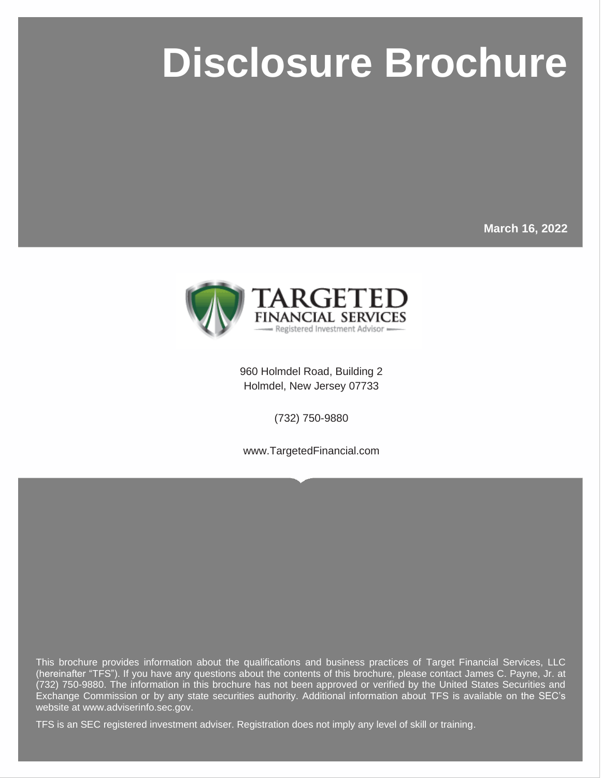# **Disclosure Brochure**

**March 16, 2022**

ddiwyddiadau



960 Holmdel Road, Building 2 Holmdel, New Jersey 07733

(732) 750-9880

www.TargetedFinancial.com

This brochure provides information about the qualifications and business practices of Target Financial Services, LLC (hereinafter "TFS"). If you have any questions about the contents of this brochure, please contact James C. Payne, Jr. at (732) 750-9880. The information in this brochure has not been approved or verified by the United States Securities and Exchange Commission or by any state securities authority. Additional information about TFS is available on the SEC's website at www.adviserinfo.sec.gov.

TFS is an SEC registered investment adviser. Registration does not imply any level of skill or training.

Page i © MarketCounsel 2022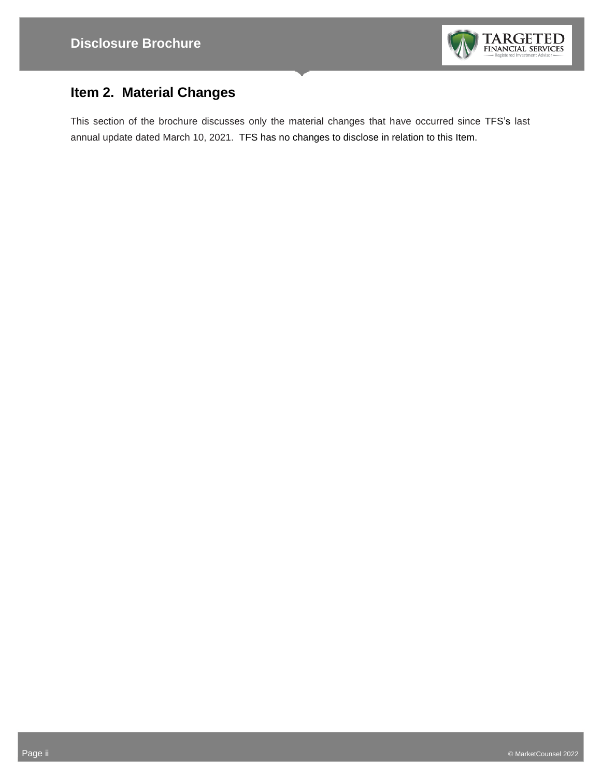

# **Item 2. Material Changes**

This section of the brochure discusses only the material changes that have occurred since TFS's last annual update dated March 10, 2021. TFS has no changes to disclose in relation to this Item.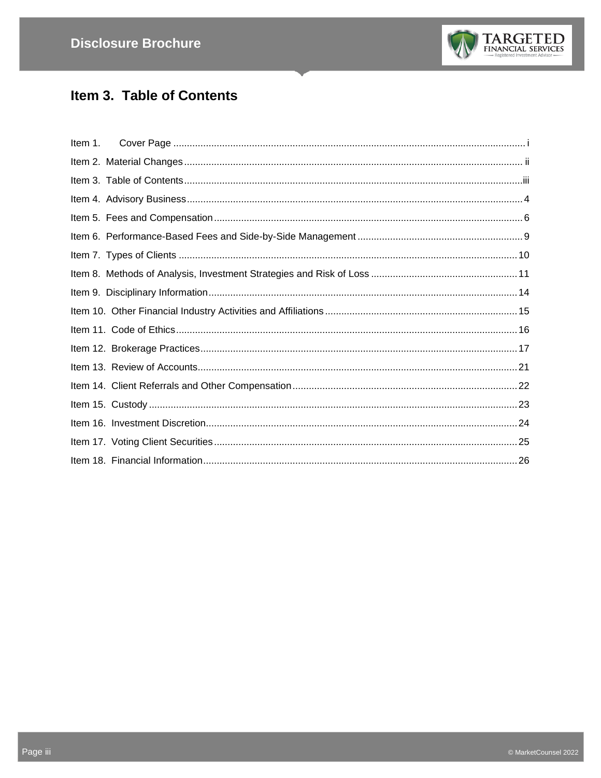

# Item 3. Table of Contents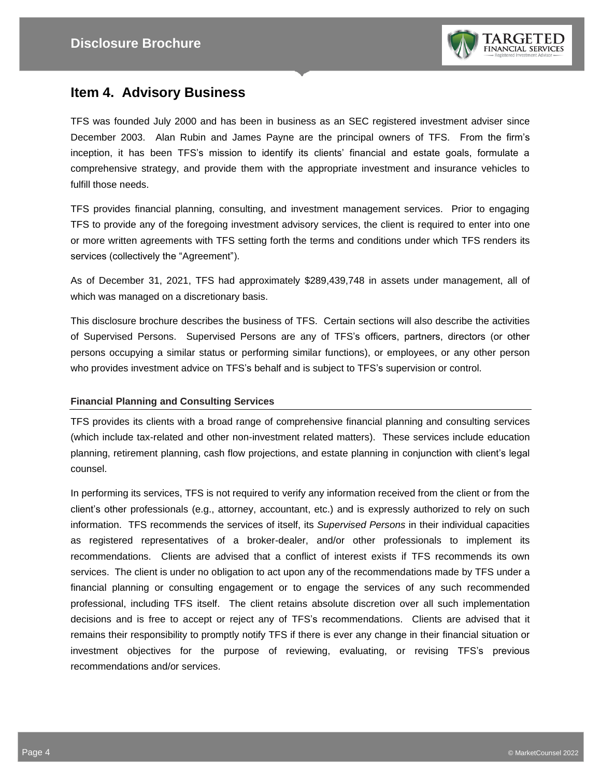

## **Item 4. Advisory Business**

TFS was founded July 2000 and has been in business as an SEC registered investment adviser since December 2003. Alan Rubin and James Payne are the principal owners of TFS. From the firm's inception, it has been TFS's mission to identify its clients' financial and estate goals, formulate a comprehensive strategy, and provide them with the appropriate investment and insurance vehicles to fulfill those needs.

TFS provides financial planning, consulting, and investment management services. Prior to engaging TFS to provide any of the foregoing investment advisory services, the client is required to enter into one or more written agreements with TFS setting forth the terms and conditions under which TFS renders its services (collectively the "Agreement").

As of December 31, 2021, TFS had approximately \$289,439,748 in assets under management, all of which was managed on a discretionary basis.

This disclosure brochure describes the business of TFS. Certain sections will also describe the activities of Supervised Persons. Supervised Persons are any of TFS's officers, partners, directors (or other persons occupying a similar status or performing similar functions), or employees, or any other person who provides investment advice on TFS's behalf and is subject to TFS's supervision or control.

#### **Financial Planning and Consulting Services**

TFS provides its clients with a broad range of comprehensive financial planning and consulting services (which include tax-related and other non-investment related matters). These services include education planning, retirement planning, cash flow projections, and estate planning in conjunction with client's legal counsel.

In performing its services, TFS is not required to verify any information received from the client or from the client's other professionals (e.g., attorney, accountant, etc.) and is expressly authorized to rely on such information. TFS recommends the services of itself, its *Supervised Persons* in their individual capacities as registered representatives of a broker-dealer, and/or other professionals to implement its recommendations. Clients are advised that a conflict of interest exists if TFS recommends its own services. The client is under no obligation to act upon any of the recommendations made by TFS under a financial planning or consulting engagement or to engage the services of any such recommended professional, including TFS itself. The client retains absolute discretion over all such implementation decisions and is free to accept or reject any of TFS's recommendations. Clients are advised that it remains their responsibility to promptly notify TFS if there is ever any change in their financial situation or investment objectives for the purpose of reviewing, evaluating, or revising TFS's previous recommendations and/or services.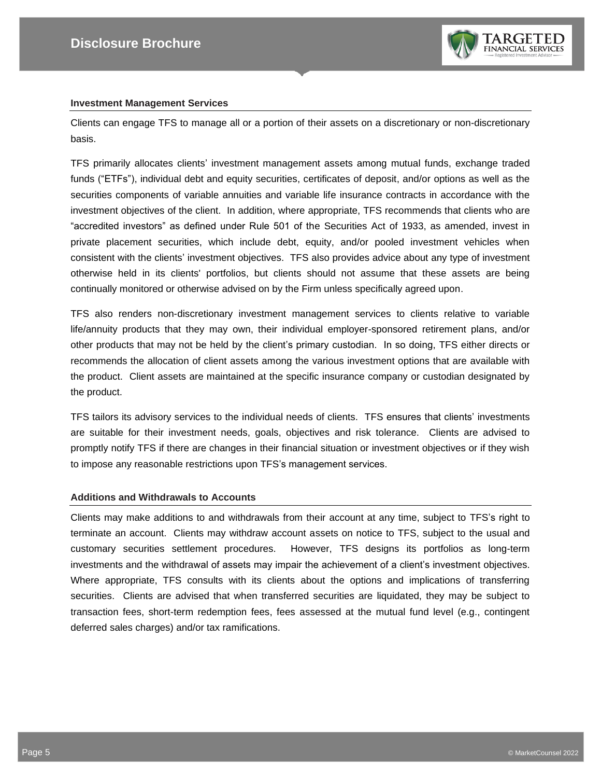

#### **Investment Management Services**

Clients can engage TFS to manage all or a portion of their assets on a discretionary or non-discretionary basis.

TFS primarily allocates clients' investment management assets among mutual funds, exchange traded funds ("ETFs"), individual debt and equity securities, certificates of deposit, and/or options as well as the securities components of variable annuities and variable life insurance contracts in accordance with the investment objectives of the client. In addition, where appropriate, TFS recommends that clients who are "accredited investors" as defined under Rule 501 of the Securities Act of 1933, as amended, invest in private placement securities, which include debt, equity, and/or pooled investment vehicles when consistent with the clients' investment objectives. TFS also provides advice about any type of investment otherwise held in its clients' portfolios, but clients should not assume that these assets are being continually monitored or otherwise advised on by the Firm unless specifically agreed upon.

TFS also renders non-discretionary investment management services to clients relative to variable life/annuity products that they may own, their individual employer-sponsored retirement plans, and/or other products that may not be held by the client's primary custodian. In so doing, TFS either directs or recommends the allocation of client assets among the various investment options that are available with the product. Client assets are maintained at the specific insurance company or custodian designated by the product.

TFS tailors its advisory services to the individual needs of clients. TFS ensures that clients' investments are suitable for their investment needs, goals, objectives and risk tolerance. Clients are advised to promptly notify TFS if there are changes in their financial situation or investment objectives or if they wish to impose any reasonable restrictions upon TFS's management services.

#### **Additions and Withdrawals to Accounts**

Clients may make additions to and withdrawals from their account at any time, subject to TFS's right to terminate an account. Clients may withdraw account assets on notice to TFS, subject to the usual and customary securities settlement procedures. However, TFS designs its portfolios as long-term investments and the withdrawal of assets may impair the achievement of a client's investment objectives. Where appropriate, TFS consults with its clients about the options and implications of transferring securities. Clients are advised that when transferred securities are liquidated, they may be subject to transaction fees, short-term redemption fees, fees assessed at the mutual fund level (e.g., contingent deferred sales charges) and/or tax ramifications.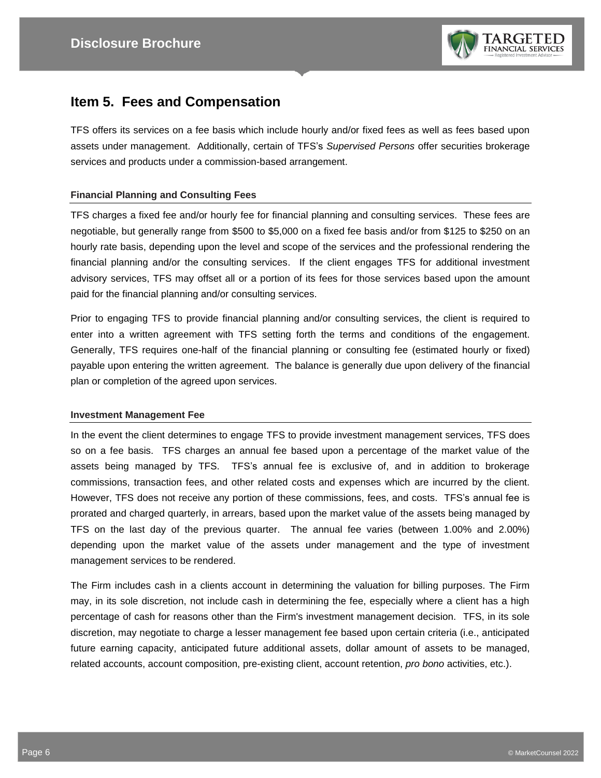

### **Item 5. Fees and Compensation**

TFS offers its services on a fee basis which include hourly and/or fixed fees as well as fees based upon assets under management. Additionally, certain of TFS's *Supervised Persons* offer securities brokerage services and products under a commission-based arrangement.

#### **Financial Planning and Consulting Fees**

TFS charges a fixed fee and/or hourly fee for financial planning and consulting services. These fees are negotiable, but generally range from \$500 to \$5,000 on a fixed fee basis and/or from \$125 to \$250 on an hourly rate basis, depending upon the level and scope of the services and the professional rendering the financial planning and/or the consulting services. If the client engages TFS for additional investment advisory services, TFS may offset all or a portion of its fees for those services based upon the amount paid for the financial planning and/or consulting services.

Prior to engaging TFS to provide financial planning and/or consulting services, the client is required to enter into a written agreement with TFS setting forth the terms and conditions of the engagement. Generally, TFS requires one-half of the financial planning or consulting fee (estimated hourly or fixed) payable upon entering the written agreement. The balance is generally due upon delivery of the financial plan or completion of the agreed upon services.

#### **Investment Management Fee**

In the event the client determines to engage TFS to provide investment management services, TFS does so on a fee basis. TFS charges an annual fee based upon a percentage of the market value of the assets being managed by TFS. TFS's annual fee is exclusive of, and in addition to brokerage commissions, transaction fees, and other related costs and expenses which are incurred by the client. However, TFS does not receive any portion of these commissions, fees, and costs. TFS's annual fee is prorated and charged quarterly, in arrears, based upon the market value of the assets being managed by TFS on the last day of the previous quarter. The annual fee varies (between 1.00% and 2.00%) depending upon the market value of the assets under management and the type of investment management services to be rendered.

The Firm includes cash in a clients account in determining the valuation for billing purposes. The Firm may, in its sole discretion, not include cash in determining the fee, especially where a client has a high percentage of cash for reasons other than the Firm's investment management decision. TFS, in its sole discretion, may negotiate to charge a lesser management fee based upon certain criteria (i.e., anticipated future earning capacity, anticipated future additional assets, dollar amount of assets to be managed, related accounts, account composition, pre-existing client, account retention, *pro bono* activities, etc.).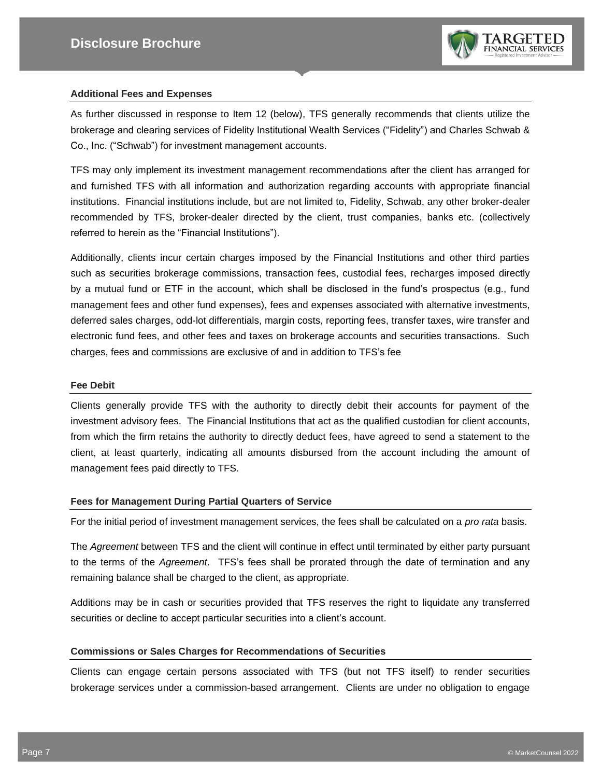

#### **Additional Fees and Expenses**

As further discussed in response to Item 12 (below), TFS generally recommends that clients utilize the brokerage and clearing services of Fidelity Institutional Wealth Services ("Fidelity") and Charles Schwab & Co., Inc. ("Schwab") for investment management accounts.

TFS may only implement its investment management recommendations after the client has arranged for and furnished TFS with all information and authorization regarding accounts with appropriate financial institutions. Financial institutions include, but are not limited to, Fidelity, Schwab, any other broker-dealer recommended by TFS, broker-dealer directed by the client, trust companies, banks etc. (collectively referred to herein as the "Financial Institutions").

Additionally, clients incur certain charges imposed by the Financial Institutions and other third parties such as securities brokerage commissions, transaction fees, custodial fees, recharges imposed directly by a mutual fund or ETF in the account, which shall be disclosed in the fund's prospectus (e.g., fund management fees and other fund expenses), fees and expenses associated with alternative investments, deferred sales charges, odd-lot differentials, margin costs, reporting fees, transfer taxes, wire transfer and electronic fund fees, and other fees and taxes on brokerage accounts and securities transactions. Such charges, fees and commissions are exclusive of and in addition to TFS's fee

#### **Fee Debit**

Clients generally provide TFS with the authority to directly debit their accounts for payment of the investment advisory fees. The Financial Institutions that act as the qualified custodian for client accounts, from which the firm retains the authority to directly deduct fees, have agreed to send a statement to the client, at least quarterly, indicating all amounts disbursed from the account including the amount of management fees paid directly to TFS.

#### **Fees for Management During Partial Quarters of Service**

For the initial period of investment management services, the fees shall be calculated on a *pro rata* basis.

The *Agreement* between TFS and the client will continue in effect until terminated by either party pursuant to the terms of the *Agreement*. TFS's fees shall be prorated through the date of termination and any remaining balance shall be charged to the client, as appropriate.

Additions may be in cash or securities provided that TFS reserves the right to liquidate any transferred securities or decline to accept particular securities into a client's account.

#### **Commissions or Sales Charges for Recommendations of Securities**

Clients can engage certain persons associated with TFS (but not TFS itself) to render securities brokerage services under a commission-based arrangement. Clients are under no obligation to engage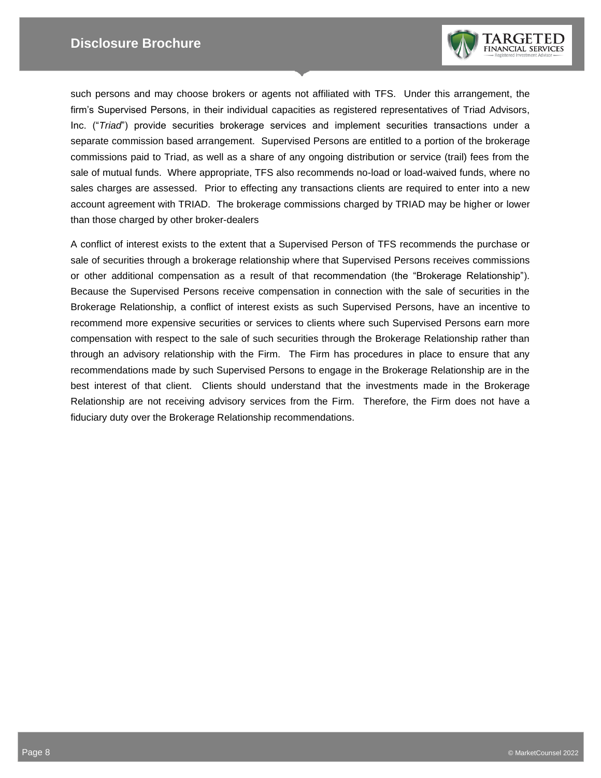

such persons and may choose brokers or agents not affiliated with TFS. Under this arrangement, the firm's Supervised Persons, in their individual capacities as registered representatives of Triad Advisors, Inc. ("*Triad*") provide securities brokerage services and implement securities transactions under a separate commission based arrangement. Supervised Persons are entitled to a portion of the brokerage commissions paid to Triad, as well as a share of any ongoing distribution or service (trail) fees from the sale of mutual funds. Where appropriate, TFS also recommends no-load or load-waived funds, where no sales charges are assessed. Prior to effecting any transactions clients are required to enter into a new account agreement with TRIAD. The brokerage commissions charged by TRIAD may be higher or lower than those charged by other broker-dealers

A conflict of interest exists to the extent that a Supervised Person of TFS recommends the purchase or sale of securities through a brokerage relationship where that Supervised Persons receives commissions or other additional compensation as a result of that recommendation (the "Brokerage Relationship"). Because the Supervised Persons receive compensation in connection with the sale of securities in the Brokerage Relationship, a conflict of interest exists as such Supervised Persons, have an incentive to recommend more expensive securities or services to clients where such Supervised Persons earn more compensation with respect to the sale of such securities through the Brokerage Relationship rather than through an advisory relationship with the Firm. The Firm has procedures in place to ensure that any recommendations made by such Supervised Persons to engage in the Brokerage Relationship are in the best interest of that client. Clients should understand that the investments made in the Brokerage Relationship are not receiving advisory services from the Firm. Therefore, the Firm does not have a fiduciary duty over the Brokerage Relationship recommendations.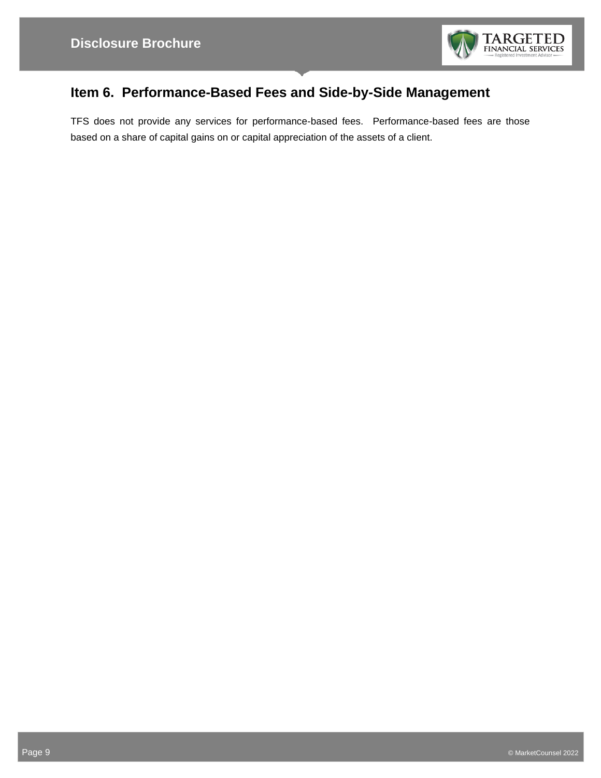

## **Item 6. Performance-Based Fees and Side-by-Side Management**

TFS does not provide any services for performance-based fees. Performance-based fees are those based on a share of capital gains on or capital appreciation of the assets of a client.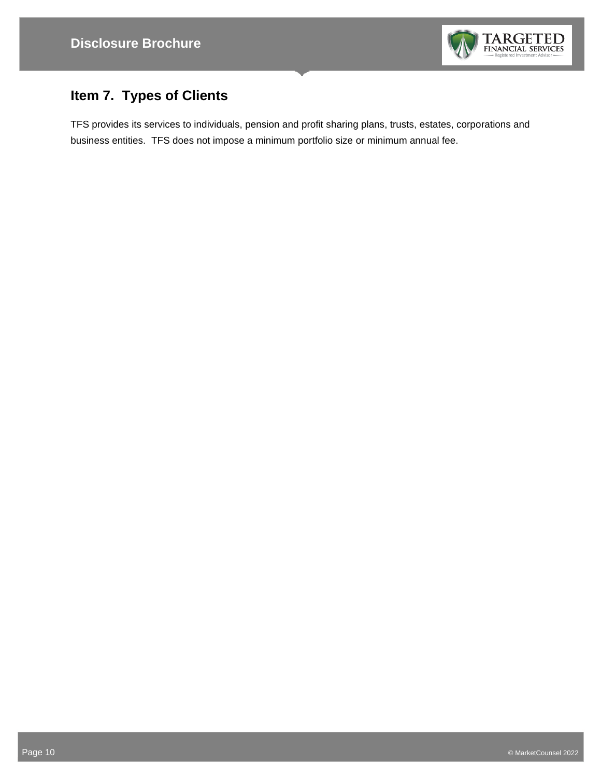

# **Item 7. Types of Clients**

TFS provides its services to individuals, pension and profit sharing plans, trusts, estates, corporations and business entities. TFS does not impose a minimum portfolio size or minimum annual fee.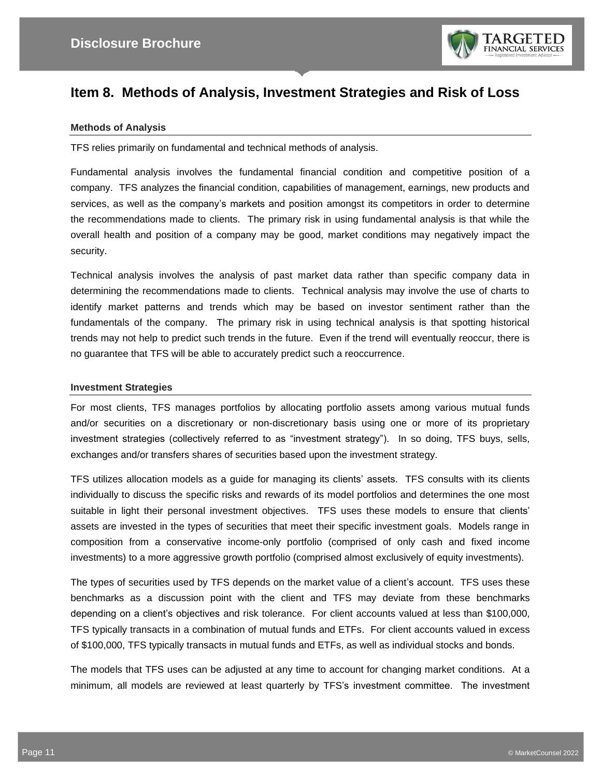

## **Item 8. Methods of Analysis, Investment Strategies and Risk of Loss**

#### **Methods of Analysis**

TFS relies primarily on fundamental and technical methods of analysis.

Fundamental analysis involves the fundamental financial condition and competitive position of a company. TFS analyzes the financial condition, capabilities of management, earnings, new products and services, as well as the company's markets and position amongst its competitors in order to determine the recommendations made to clients. The primary risk in using fundamental analysis is that while the overall health and position of a company may be good, market conditions may negatively impact the security.

Technical analysis involves the analysis of past market data rather than specific company data in determining the recommendations made to clients. Technical analysis may involve the use of charts to identify market patterns and trends which may be based on investor sentiment rather than the fundamentals of the company. The primary risk in using technical analysis is that spotting historical trends may not help to predict such trends in the future. Even if the trend will eventually reoccur, there is no guarantee that TFS will be able to accurately predict such a reoccurrence.

#### **Investment Strategies**

For most clients, TFS manages portfolios by allocating portfolio assets among various mutual funds and/or securities on a discretionary or non-discretionary basis using one or more of its proprietary investment strategies (collectively referred to as "investment strategy"). In so doing, TFS buys, sells, exchanges and/or transfers shares of securities based upon the investment strategy.

TFS utilizes allocation models as a guide for managing its clients' assets. TFS consults with its clients individually to discuss the specific risks and rewards of its model portfolios and determines the one most suitable in light their personal investment objectives. TFS uses these models to ensure that clients' assets are invested in the types of securities that meet their specific investment goals. Models range in composition from a conservative income-only portfolio (comprised of only cash and fixed income investments) to a more aggressive growth portfolio (comprised almost exclusively of equity investments).

The types of securities used by TFS depends on the market value of a client's account. TFS uses these benchmarks as a discussion point with the client and TFS may deviate from these benchmarks depending on a client's objectives and risk tolerance. For client accounts valued at less than \$100,000, TFS typically transacts in a combination of mutual funds and ETFs. For client accounts valued in excess of \$100,000, TFS typically transacts in mutual funds and ETFs, as well as individual stocks and bonds.

The models that TFS uses can be adjusted at any time to account for changing market conditions. At a minimum, all models are reviewed at least quarterly by TFS's investment committee. The investment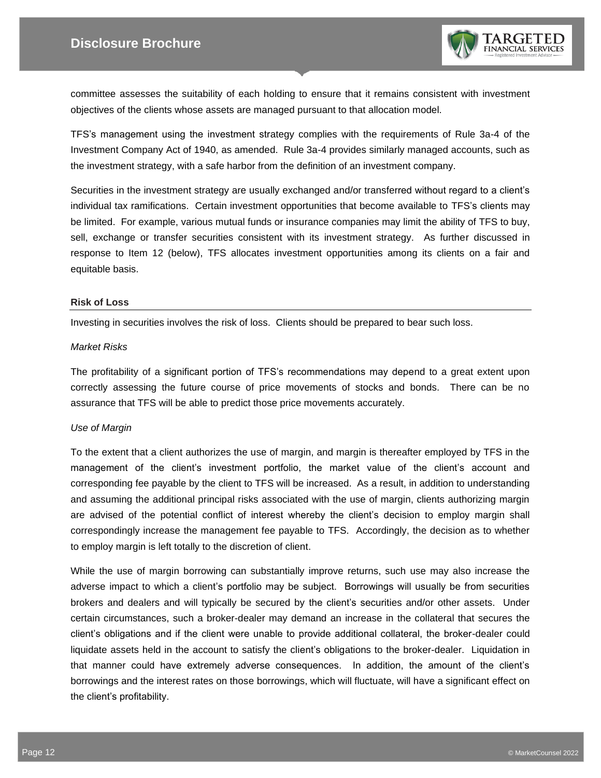

committee assesses the suitability of each holding to ensure that it remains consistent with investment objectives of the clients whose assets are managed pursuant to that allocation model.

TFS's management using the investment strategy complies with the requirements of Rule 3a-4 of the Investment Company Act of 1940, as amended. Rule 3a-4 provides similarly managed accounts, such as the investment strategy, with a safe harbor from the definition of an investment company.

Securities in the investment strategy are usually exchanged and/or transferred without regard to a client's individual tax ramifications. Certain investment opportunities that become available to TFS's clients may be limited. For example, various mutual funds or insurance companies may limit the ability of TFS to buy, sell, exchange or transfer securities consistent with its investment strategy. As further discussed in response to Item 12 (below), TFS allocates investment opportunities among its clients on a fair and equitable basis.

#### **Risk of Loss**

Investing in securities involves the risk of loss. Clients should be prepared to bear such loss.

#### *Market Risks*

The profitability of a significant portion of TFS's recommendations may depend to a great extent upon correctly assessing the future course of price movements of stocks and bonds. There can be no assurance that TFS will be able to predict those price movements accurately.

#### *Use of Margin*

To the extent that a client authorizes the use of margin, and margin is thereafter employed by TFS in the management of the client's investment portfolio, the market value of the client's account and corresponding fee payable by the client to TFS will be increased. As a result, in addition to understanding and assuming the additional principal risks associated with the use of margin, clients authorizing margin are advised of the potential conflict of interest whereby the client's decision to employ margin shall correspondingly increase the management fee payable to TFS. Accordingly, the decision as to whether to employ margin is left totally to the discretion of client.

While the use of margin borrowing can substantially improve returns, such use may also increase the adverse impact to which a client's portfolio may be subject. Borrowings will usually be from securities brokers and dealers and will typically be secured by the client's securities and/or other assets. Under certain circumstances, such a broker-dealer may demand an increase in the collateral that secures the client's obligations and if the client were unable to provide additional collateral, the broker-dealer could liquidate assets held in the account to satisfy the client's obligations to the broker-dealer. Liquidation in that manner could have extremely adverse consequences. In addition, the amount of the client's borrowings and the interest rates on those borrowings, which will fluctuate, will have a significant effect on the client's profitability.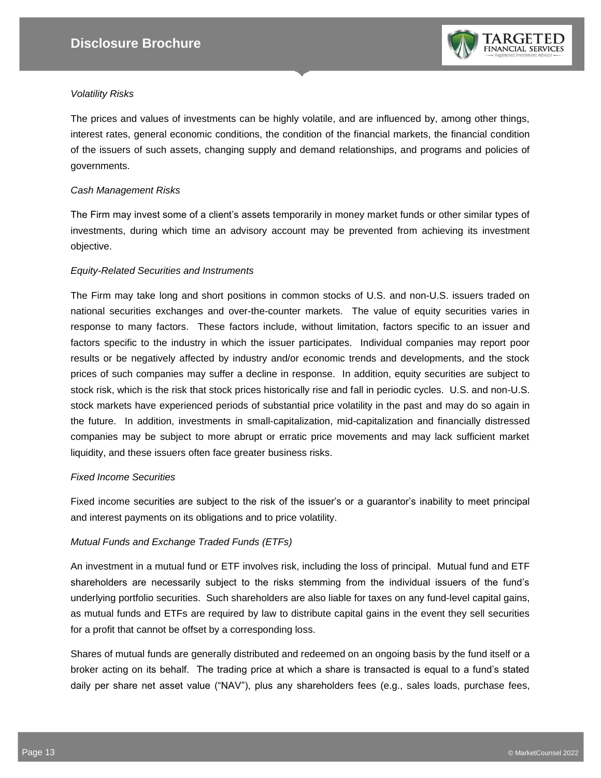

#### *Volatility Risks*

The prices and values of investments can be highly volatile, and are influenced by, among other things, interest rates, general economic conditions, the condition of the financial markets, the financial condition of the issuers of such assets, changing supply and demand relationships, and programs and policies of governments.

#### *Cash Management Risks*

The Firm may invest some of a client's assets temporarily in money market funds or other similar types of investments, during which time an advisory account may be prevented from achieving its investment objective.

#### *Equity-Related Securities and Instruments*

The Firm may take long and short positions in common stocks of U.S. and non-U.S. issuers traded on national securities exchanges and over-the-counter markets. The value of equity securities varies in response to many factors. These factors include, without limitation, factors specific to an issuer and factors specific to the industry in which the issuer participates. Individual companies may report poor results or be negatively affected by industry and/or economic trends and developments, and the stock prices of such companies may suffer a decline in response. In addition, equity securities are subject to stock risk, which is the risk that stock prices historically rise and fall in periodic cycles. U.S. and non-U.S. stock markets have experienced periods of substantial price volatility in the past and may do so again in the future. In addition, investments in small-capitalization, mid-capitalization and financially distressed companies may be subject to more abrupt or erratic price movements and may lack sufficient market liquidity, and these issuers often face greater business risks.

#### *Fixed Income Securities*

Fixed income securities are subject to the risk of the issuer's or a guarantor's inability to meet principal and interest payments on its obligations and to price volatility.

#### *Mutual Funds and Exchange Traded Funds (ETFs)*

An investment in a mutual fund or ETF involves risk, including the loss of principal. Mutual fund and ETF shareholders are necessarily subject to the risks stemming from the individual issuers of the fund's underlying portfolio securities. Such shareholders are also liable for taxes on any fund-level capital gains, as mutual funds and ETFs are required by law to distribute capital gains in the event they sell securities for a profit that cannot be offset by a corresponding loss.

Shares of mutual funds are generally distributed and redeemed on an ongoing basis by the fund itself or a broker acting on its behalf. The trading price at which a share is transacted is equal to a fund's stated daily per share net asset value ("NAV"), plus any shareholders fees (e.g., sales loads, purchase fees,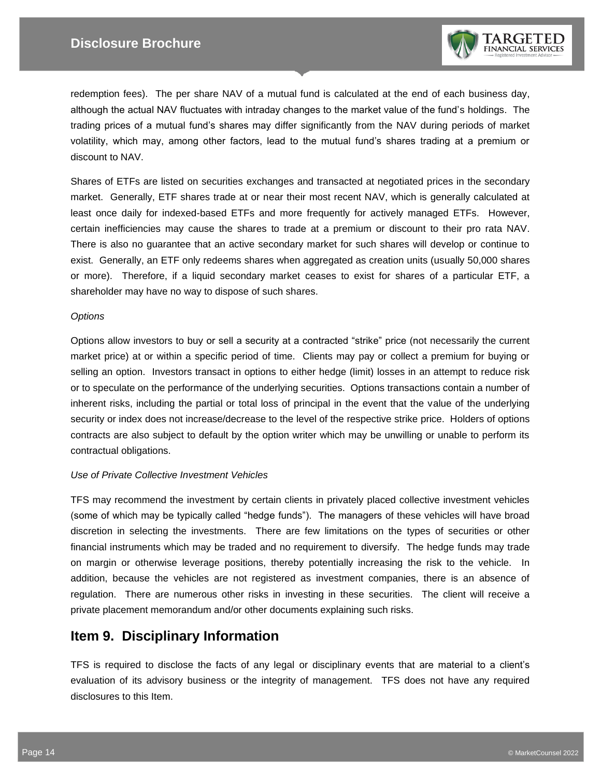

redemption fees). The per share NAV of a mutual fund is calculated at the end of each business day, although the actual NAV fluctuates with intraday changes to the market value of the fund's holdings. The trading prices of a mutual fund's shares may differ significantly from the NAV during periods of market volatility, which may, among other factors, lead to the mutual fund's shares trading at a premium or discount to NAV.

Shares of ETFs are listed on securities exchanges and transacted at negotiated prices in the secondary market. Generally, ETF shares trade at or near their most recent NAV, which is generally calculated at least once daily for indexed-based ETFs and more frequently for actively managed ETFs. However, certain inefficiencies may cause the shares to trade at a premium or discount to their pro rata NAV. There is also no guarantee that an active secondary market for such shares will develop or continue to exist. Generally, an ETF only redeems shares when aggregated as creation units (usually 50,000 shares or more). Therefore, if a liquid secondary market ceases to exist for shares of a particular ETF, a shareholder may have no way to dispose of such shares.

#### *Options*

Options allow investors to buy or sell a security at a contracted "strike" price (not necessarily the current market price) at or within a specific period of time. Clients may pay or collect a premium for buying or selling an option. Investors transact in options to either hedge (limit) losses in an attempt to reduce risk or to speculate on the performance of the underlying securities. Options transactions contain a number of inherent risks, including the partial or total loss of principal in the event that the value of the underlying security or index does not increase/decrease to the level of the respective strike price. Holders of options contracts are also subject to default by the option writer which may be unwilling or unable to perform its contractual obligations.

#### *Use of Private Collective Investment Vehicles*

TFS may recommend the investment by certain clients in privately placed collective investment vehicles (some of which may be typically called "hedge funds"). The managers of these vehicles will have broad discretion in selecting the investments. There are few limitations on the types of securities or other financial instruments which may be traded and no requirement to diversify. The hedge funds may trade on margin or otherwise leverage positions, thereby potentially increasing the risk to the vehicle. In addition, because the vehicles are not registered as investment companies, there is an absence of regulation. There are numerous other risks in investing in these securities. The client will receive a private placement memorandum and/or other documents explaining such risks.

## **Item 9. Disciplinary Information**

TFS is required to disclose the facts of any legal or disciplinary events that are material to a client's evaluation of its advisory business or the integrity of management. TFS does not have any required disclosures to this Item.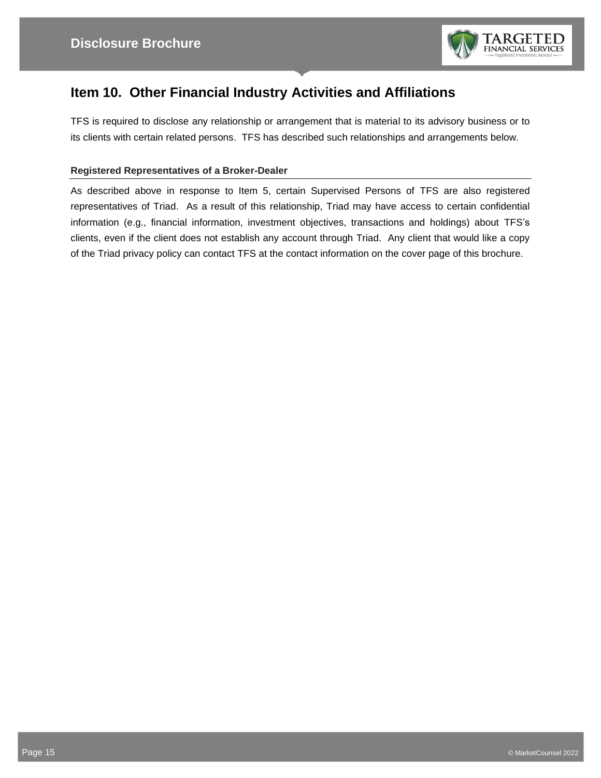

## **Item 10. Other Financial Industry Activities and Affiliations**

TFS is required to disclose any relationship or arrangement that is material to its advisory business or to its clients with certain related persons. TFS has described such relationships and arrangements below.

#### **Registered Representatives of a Broker-Dealer**

As described above in response to Item 5, certain Supervised Persons of TFS are also registered representatives of Triad. As a result of this relationship, Triad may have access to certain confidential information (e.g., financial information, investment objectives, transactions and holdings) about TFS's clients, even if the client does not establish any account through Triad. Any client that would like a copy of the Triad privacy policy can contact TFS at the contact information on the cover page of this brochure.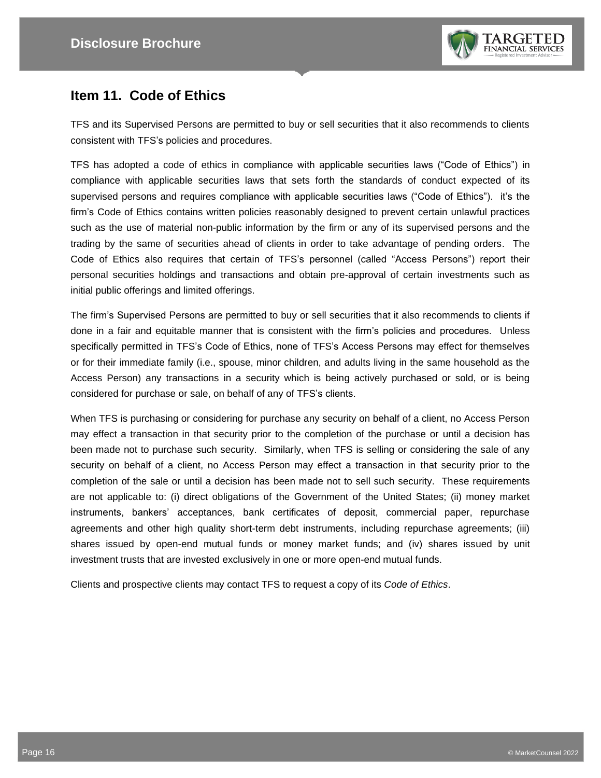

## **Item 11. Code of Ethics**

TFS and its Supervised Persons are permitted to buy or sell securities that it also recommends to clients consistent with TFS's policies and procedures.

TFS has adopted a code of ethics in compliance with applicable securities laws ("Code of Ethics") in compliance with applicable securities laws that sets forth the standards of conduct expected of its supervised persons and requires compliance with applicable securities laws ("Code of Ethics"). it's the firm's Code of Ethics contains written policies reasonably designed to prevent certain unlawful practices such as the use of material non-public information by the firm or any of its supervised persons and the trading by the same of securities ahead of clients in order to take advantage of pending orders. The Code of Ethics also requires that certain of TFS's personnel (called "Access Persons") report their personal securities holdings and transactions and obtain pre-approval of certain investments such as initial public offerings and limited offerings.

The firm's Supervised Persons are permitted to buy or sell securities that it also recommends to clients if done in a fair and equitable manner that is consistent with the firm's policies and procedures. Unless specifically permitted in TFS's Code of Ethics, none of TFS's Access Persons may effect for themselves or for their immediate family (i.e., spouse, minor children, and adults living in the same household as the Access Person) any transactions in a security which is being actively purchased or sold, or is being considered for purchase or sale, on behalf of any of TFS's clients.

When TFS is purchasing or considering for purchase any security on behalf of a client, no Access Person may effect a transaction in that security prior to the completion of the purchase or until a decision has been made not to purchase such security. Similarly, when TFS is selling or considering the sale of any security on behalf of a client, no Access Person may effect a transaction in that security prior to the completion of the sale or until a decision has been made not to sell such security. These requirements are not applicable to: (i) direct obligations of the Government of the United States; (ii) money market instruments, bankers' acceptances, bank certificates of deposit, commercial paper, repurchase agreements and other high quality short-term debt instruments, including repurchase agreements; (iii) shares issued by open-end mutual funds or money market funds; and (iv) shares issued by unit investment trusts that are invested exclusively in one or more open-end mutual funds.

Clients and prospective clients may contact TFS to request a copy of its *Code of Ethics*.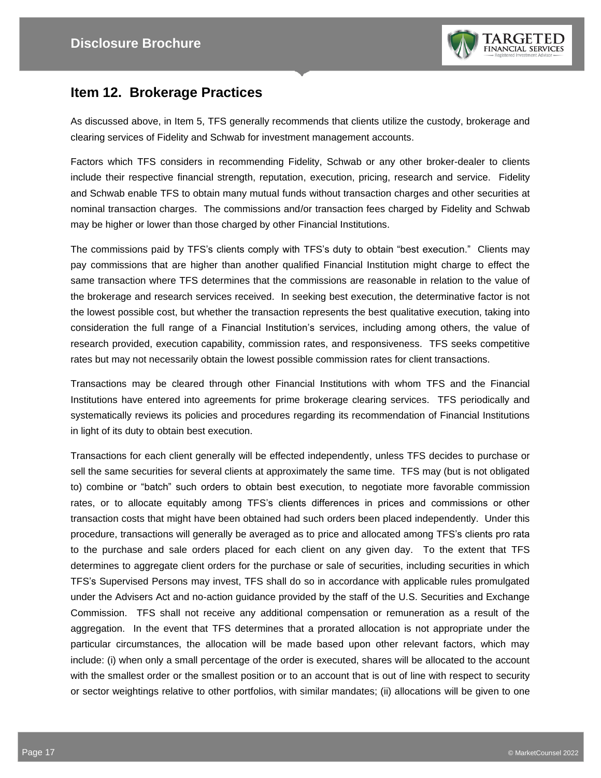

## **Item 12. Brokerage Practices**

As discussed above, in Item 5, TFS generally recommends that clients utilize the custody, brokerage and clearing services of Fidelity and Schwab for investment management accounts.

Factors which TFS considers in recommending Fidelity, Schwab or any other broker-dealer to clients include their respective financial strength, reputation, execution, pricing, research and service. Fidelity and Schwab enable TFS to obtain many mutual funds without transaction charges and other securities at nominal transaction charges. The commissions and/or transaction fees charged by Fidelity and Schwab may be higher or lower than those charged by other Financial Institutions.

The commissions paid by TFS's clients comply with TFS's duty to obtain "best execution." Clients may pay commissions that are higher than another qualified Financial Institution might charge to effect the same transaction where TFS determines that the commissions are reasonable in relation to the value of the brokerage and research services received. In seeking best execution, the determinative factor is not the lowest possible cost, but whether the transaction represents the best qualitative execution, taking into consideration the full range of a Financial Institution's services, including among others, the value of research provided, execution capability, commission rates, and responsiveness. TFS seeks competitive rates but may not necessarily obtain the lowest possible commission rates for client transactions.

Transactions may be cleared through other Financial Institutions with whom TFS and the Financial Institutions have entered into agreements for prime brokerage clearing services. TFS periodically and systematically reviews its policies and procedures regarding its recommendation of Financial Institutions in light of its duty to obtain best execution.

Transactions for each client generally will be effected independently, unless TFS decides to purchase or sell the same securities for several clients at approximately the same time. TFS may (but is not obligated to) combine or "batch" such orders to obtain best execution, to negotiate more favorable commission rates, or to allocate equitably among TFS's clients differences in prices and commissions or other transaction costs that might have been obtained had such orders been placed independently. Under this procedure, transactions will generally be averaged as to price and allocated among TFS's clients pro rata to the purchase and sale orders placed for each client on any given day. To the extent that TFS determines to aggregate client orders for the purchase or sale of securities, including securities in which TFS's Supervised Persons may invest, TFS shall do so in accordance with applicable rules promulgated under the Advisers Act and no-action guidance provided by the staff of the U.S. Securities and Exchange Commission. TFS shall not receive any additional compensation or remuneration as a result of the aggregation. In the event that TFS determines that a prorated allocation is not appropriate under the particular circumstances, the allocation will be made based upon other relevant factors, which may include: (i) when only a small percentage of the order is executed, shares will be allocated to the account with the smallest order or the smallest position or to an account that is out of line with respect to security or sector weightings relative to other portfolios, with similar mandates; (ii) allocations will be given to one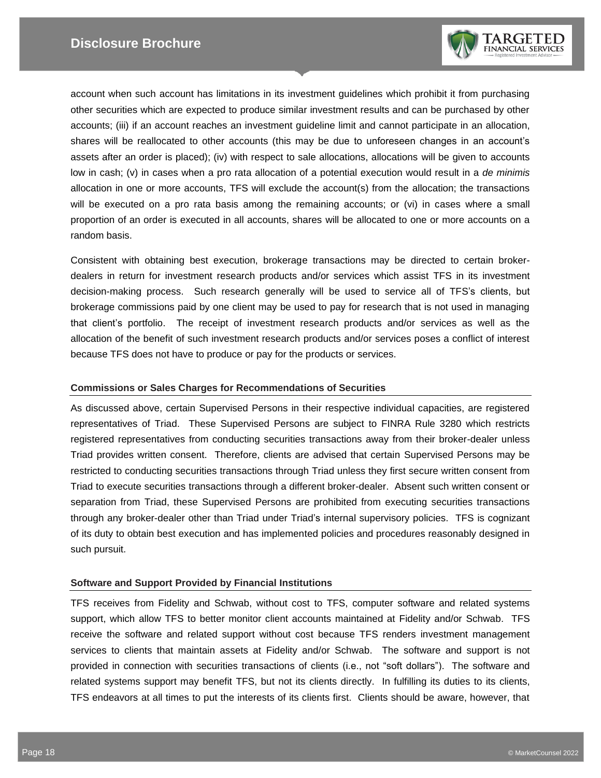

account when such account has limitations in its investment guidelines which prohibit it from purchasing other securities which are expected to produce similar investment results and can be purchased by other accounts; (iii) if an account reaches an investment guideline limit and cannot participate in an allocation, shares will be reallocated to other accounts (this may be due to unforeseen changes in an account's assets after an order is placed); (iv) with respect to sale allocations, allocations will be given to accounts low in cash; (v) in cases when a pro rata allocation of a potential execution would result in a *de minimis* allocation in one or more accounts, TFS will exclude the account(s) from the allocation; the transactions will be executed on a pro rata basis among the remaining accounts; or (vi) in cases where a small proportion of an order is executed in all accounts, shares will be allocated to one or more accounts on a random basis.

Consistent with obtaining best execution, brokerage transactions may be directed to certain brokerdealers in return for investment research products and/or services which assist TFS in its investment decision-making process. Such research generally will be used to service all of TFS's clients, but brokerage commissions paid by one client may be used to pay for research that is not used in managing that client's portfolio. The receipt of investment research products and/or services as well as the allocation of the benefit of such investment research products and/or services poses a conflict of interest because TFS does not have to produce or pay for the products or services.

#### **Commissions or Sales Charges for Recommendations of Securities**

As discussed above, certain Supervised Persons in their respective individual capacities, are registered representatives of Triad. These Supervised Persons are subject to FINRA Rule 3280 which restricts registered representatives from conducting securities transactions away from their broker-dealer unless Triad provides written consent. Therefore, clients are advised that certain Supervised Persons may be restricted to conducting securities transactions through Triad unless they first secure written consent from Triad to execute securities transactions through a different broker-dealer. Absent such written consent or separation from Triad, these Supervised Persons are prohibited from executing securities transactions through any broker-dealer other than Triad under Triad's internal supervisory policies. TFS is cognizant of its duty to obtain best execution and has implemented policies and procedures reasonably designed in such pursuit.

#### **Software and Support Provided by Financial Institutions**

TFS receives from Fidelity and Schwab, without cost to TFS, computer software and related systems support, which allow TFS to better monitor client accounts maintained at Fidelity and/or Schwab. TFS receive the software and related support without cost because TFS renders investment management services to clients that maintain assets at Fidelity and/or Schwab. The software and support is not provided in connection with securities transactions of clients (i.e., not "soft dollars"). The software and related systems support may benefit TFS, but not its clients directly. In fulfilling its duties to its clients, TFS endeavors at all times to put the interests of its clients first. Clients should be aware, however, that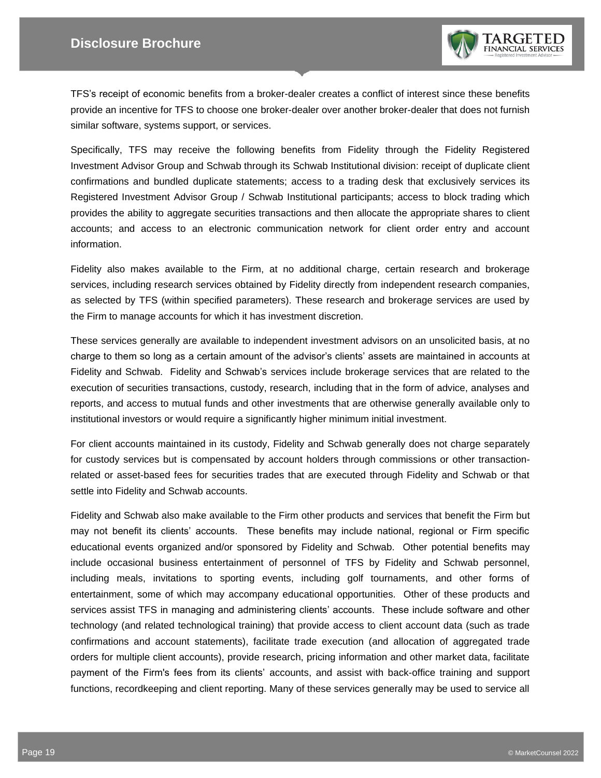

TFS's receipt of economic benefits from a broker-dealer creates a conflict of interest since these benefits provide an incentive for TFS to choose one broker-dealer over another broker-dealer that does not furnish similar software, systems support, or services.

Specifically, TFS may receive the following benefits from Fidelity through the Fidelity Registered Investment Advisor Group and Schwab through its Schwab Institutional division: receipt of duplicate client confirmations and bundled duplicate statements; access to a trading desk that exclusively services its Registered Investment Advisor Group / Schwab Institutional participants; access to block trading which provides the ability to aggregate securities transactions and then allocate the appropriate shares to client accounts; and access to an electronic communication network for client order entry and account information.

Fidelity also makes available to the Firm, at no additional charge, certain research and brokerage services, including research services obtained by Fidelity directly from independent research companies, as selected by TFS (within specified parameters). These research and brokerage services are used by the Firm to manage accounts for which it has investment discretion.

These services generally are available to independent investment advisors on an unsolicited basis, at no charge to them so long as a certain amount of the advisor's clients' assets are maintained in accounts at Fidelity and Schwab. Fidelity and Schwab's services include brokerage services that are related to the execution of securities transactions, custody, research, including that in the form of advice, analyses and reports, and access to mutual funds and other investments that are otherwise generally available only to institutional investors or would require a significantly higher minimum initial investment.

For client accounts maintained in its custody, Fidelity and Schwab generally does not charge separately for custody services but is compensated by account holders through commissions or other transactionrelated or asset-based fees for securities trades that are executed through Fidelity and Schwab or that settle into Fidelity and Schwab accounts.

Fidelity and Schwab also make available to the Firm other products and services that benefit the Firm but may not benefit its clients' accounts. These benefits may include national, regional or Firm specific educational events organized and/or sponsored by Fidelity and Schwab. Other potential benefits may include occasional business entertainment of personnel of TFS by Fidelity and Schwab personnel, including meals, invitations to sporting events, including golf tournaments, and other forms of entertainment, some of which may accompany educational opportunities. Other of these products and services assist TFS in managing and administering clients' accounts. These include software and other technology (and related technological training) that provide access to client account data (such as trade confirmations and account statements), facilitate trade execution (and allocation of aggregated trade orders for multiple client accounts), provide research, pricing information and other market data, facilitate payment of the Firm's fees from its clients' accounts, and assist with back-office training and support functions, recordkeeping and client reporting. Many of these services generally may be used to service all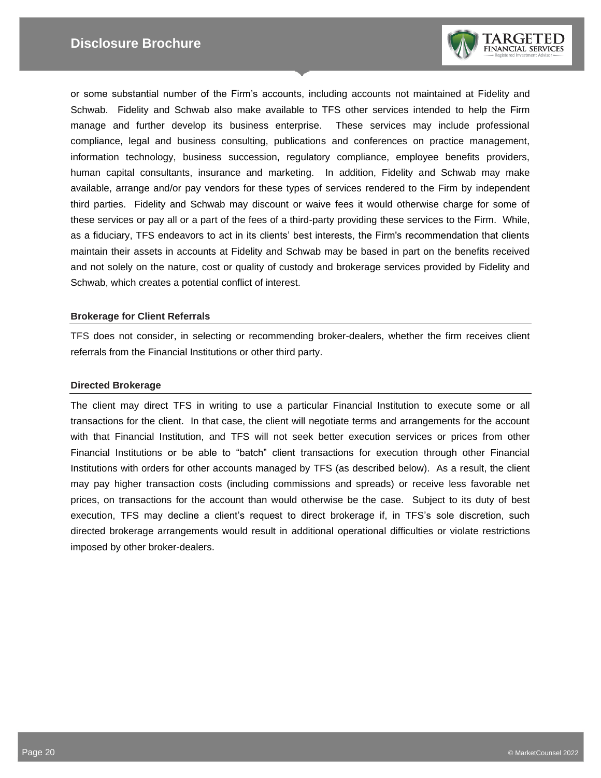

or some substantial number of the Firm's accounts, including accounts not maintained at Fidelity and Schwab. Fidelity and Schwab also make available to TFS other services intended to help the Firm manage and further develop its business enterprise. These services may include professional compliance, legal and business consulting, publications and conferences on practice management, information technology, business succession, regulatory compliance, employee benefits providers, human capital consultants, insurance and marketing. In addition, Fidelity and Schwab may make available, arrange and/or pay vendors for these types of services rendered to the Firm by independent third parties. Fidelity and Schwab may discount or waive fees it would otherwise charge for some of these services or pay all or a part of the fees of a third-party providing these services to the Firm. While, as a fiduciary, TFS endeavors to act in its clients' best interests, the Firm's recommendation that clients maintain their assets in accounts at Fidelity and Schwab may be based in part on the benefits received and not solely on the nature, cost or quality of custody and brokerage services provided by Fidelity and Schwab, which creates a potential conflict of interest.

#### **Brokerage for Client Referrals**

TFS does not consider, in selecting or recommending broker-dealers, whether the firm receives client referrals from the Financial Institutions or other third party.

#### **Directed Brokerage**

The client may direct TFS in writing to use a particular Financial Institution to execute some or all transactions for the client. In that case, the client will negotiate terms and arrangements for the account with that Financial Institution, and TFS will not seek better execution services or prices from other Financial Institutions or be able to "batch" client transactions for execution through other Financial Institutions with orders for other accounts managed by TFS (as described below). As a result, the client may pay higher transaction costs (including commissions and spreads) or receive less favorable net prices, on transactions for the account than would otherwise be the case. Subject to its duty of best execution, TFS may decline a client's request to direct brokerage if, in TFS's sole discretion, such directed brokerage arrangements would result in additional operational difficulties or violate restrictions imposed by other broker-dealers.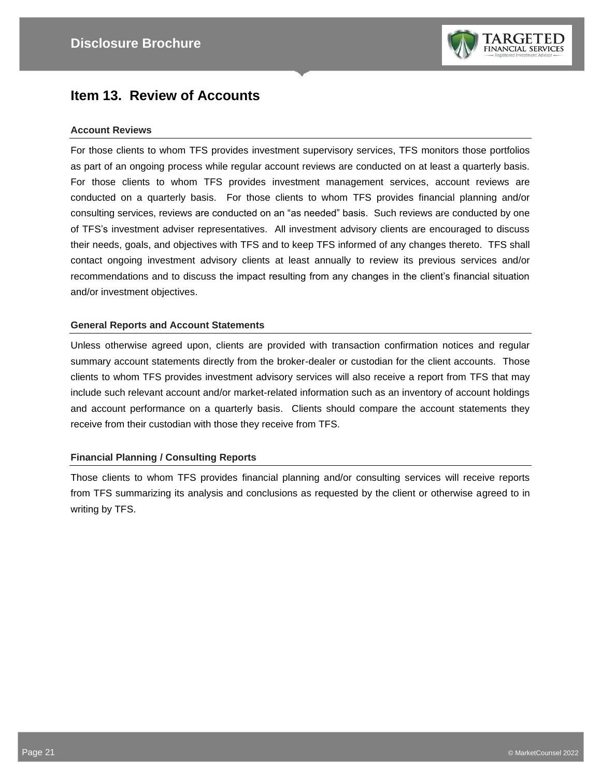

## **Item 13. Review of Accounts**

#### **Account Reviews**

For those clients to whom TFS provides investment supervisory services, TFS monitors those portfolios as part of an ongoing process while regular account reviews are conducted on at least a quarterly basis. For those clients to whom TFS provides investment management services, account reviews are conducted on a quarterly basis. For those clients to whom TFS provides financial planning and/or consulting services, reviews are conducted on an "as needed" basis. Such reviews are conducted by one of TFS's investment adviser representatives. All investment advisory clients are encouraged to discuss their needs, goals, and objectives with TFS and to keep TFS informed of any changes thereto. TFS shall contact ongoing investment advisory clients at least annually to review its previous services and/or recommendations and to discuss the impact resulting from any changes in the client's financial situation and/or investment objectives.

#### **General Reports and Account Statements**

Unless otherwise agreed upon, clients are provided with transaction confirmation notices and regular summary account statements directly from the broker-dealer or custodian for the client accounts. Those clients to whom TFS provides investment advisory services will also receive a report from TFS that may include such relevant account and/or market-related information such as an inventory of account holdings and account performance on a quarterly basis. Clients should compare the account statements they receive from their custodian with those they receive from TFS.

#### **Financial Planning / Consulting Reports**

Those clients to whom TFS provides financial planning and/or consulting services will receive reports from TFS summarizing its analysis and conclusions as requested by the client or otherwise agreed to in writing by TFS.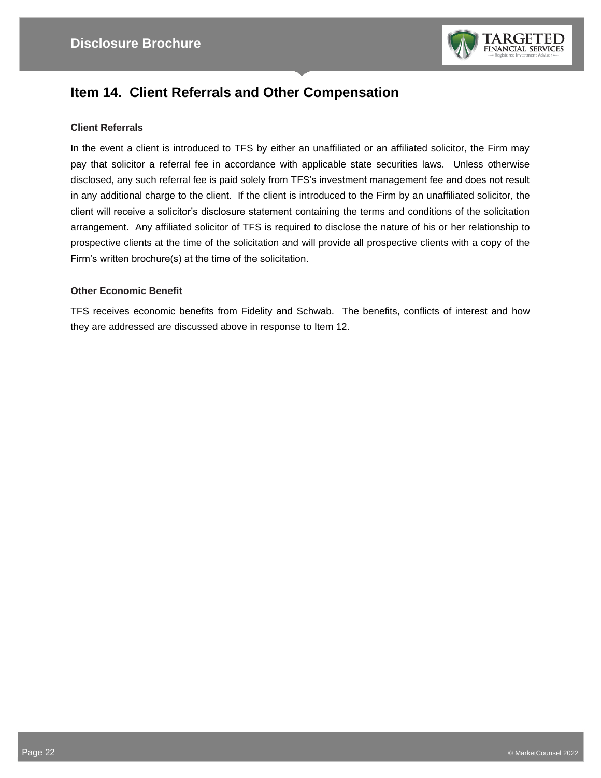

## **Item 14. Client Referrals and Other Compensation**

#### **Client Referrals**

In the event a client is introduced to TFS by either an unaffiliated or an affiliated solicitor, the Firm may pay that solicitor a referral fee in accordance with applicable state securities laws. Unless otherwise disclosed, any such referral fee is paid solely from TFS's investment management fee and does not result in any additional charge to the client. If the client is introduced to the Firm by an unaffiliated solicitor, the client will receive a solicitor's disclosure statement containing the terms and conditions of the solicitation arrangement. Any affiliated solicitor of TFS is required to disclose the nature of his or her relationship to prospective clients at the time of the solicitation and will provide all prospective clients with a copy of the Firm's written brochure(s) at the time of the solicitation.

#### **Other Economic Benefit**

TFS receives economic benefits from Fidelity and Schwab. The benefits, conflicts of interest and how they are addressed are discussed above in response to Item 12.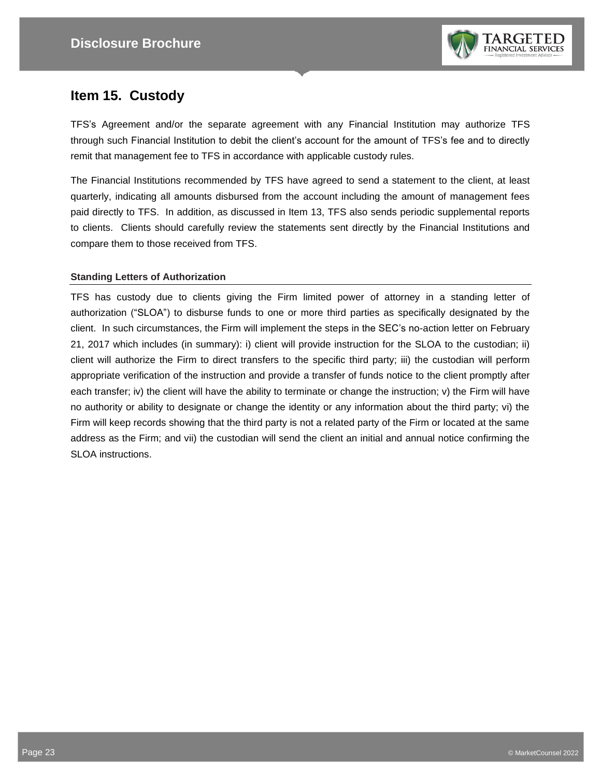

## **Item 15. Custody**

TFS's Agreement and/or the separate agreement with any Financial Institution may authorize TFS through such Financial Institution to debit the client's account for the amount of TFS's fee and to directly remit that management fee to TFS in accordance with applicable custody rules.

The Financial Institutions recommended by TFS have agreed to send a statement to the client, at least quarterly, indicating all amounts disbursed from the account including the amount of management fees paid directly to TFS. In addition, as discussed in Item 13, TFS also sends periodic supplemental reports to clients. Clients should carefully review the statements sent directly by the Financial Institutions and compare them to those received from TFS.

#### **Standing Letters of Authorization**

TFS has custody due to clients giving the Firm limited power of attorney in a standing letter of authorization ("SLOA") to disburse funds to one or more third parties as specifically designated by the client. In such circumstances, the Firm will implement the steps in the SEC's no-action letter on February 21, 2017 which includes (in summary): i) client will provide instruction for the SLOA to the custodian; ii) client will authorize the Firm to direct transfers to the specific third party; iii) the custodian will perform appropriate verification of the instruction and provide a transfer of funds notice to the client promptly after each transfer; iv) the client will have the ability to terminate or change the instruction; v) the Firm will have no authority or ability to designate or change the identity or any information about the third party; vi) the Firm will keep records showing that the third party is not a related party of the Firm or located at the same address as the Firm; and vii) the custodian will send the client an initial and annual notice confirming the SLOA instructions.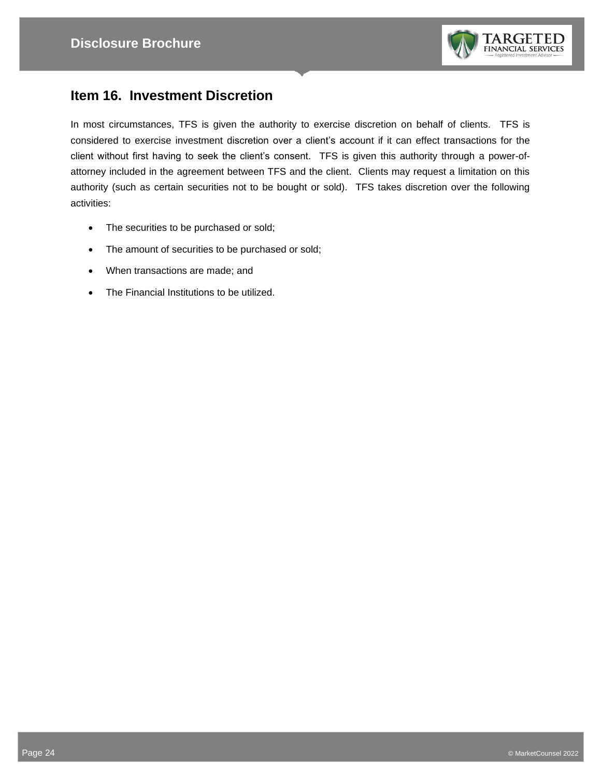

## **Item 16. Investment Discretion**

In most circumstances, TFS is given the authority to exercise discretion on behalf of clients. TFS is considered to exercise investment discretion over a client's account if it can effect transactions for the client without first having to seek the client's consent. TFS is given this authority through a power-ofattorney included in the agreement between TFS and the client. Clients may request a limitation on this authority (such as certain securities not to be bought or sold). TFS takes discretion over the following activities:

- The securities to be purchased or sold;
- The amount of securities to be purchased or sold;
- When transactions are made; and
- The Financial Institutions to be utilized.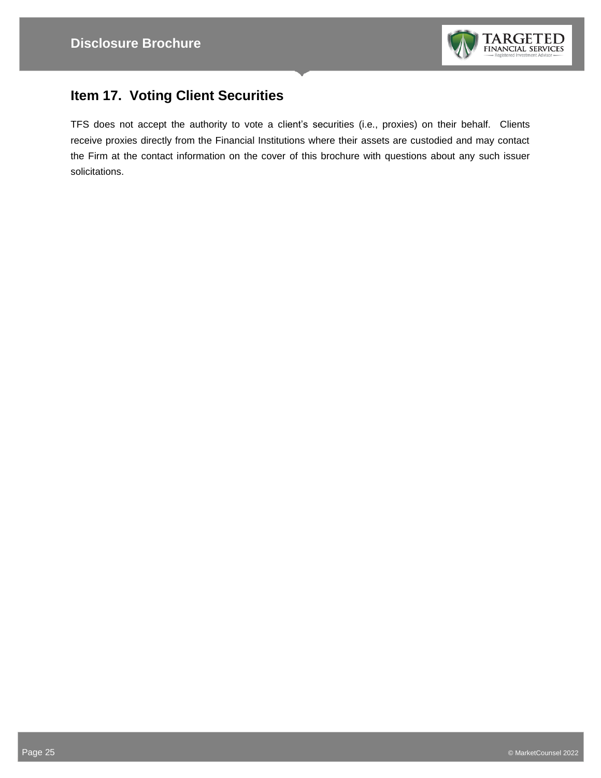

# **Item 17. Voting Client Securities**

TFS does not accept the authority to vote a client's securities (i.e., proxies) on their behalf. Clients receive proxies directly from the Financial Institutions where their assets are custodied and may contact the Firm at the contact information on the cover of this brochure with questions about any such issuer solicitations.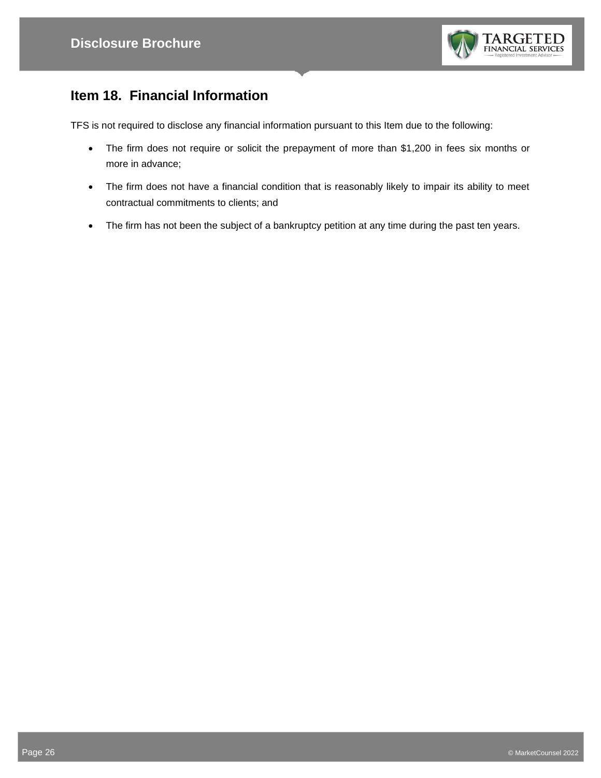

# **Item 18. Financial Information**

TFS is not required to disclose any financial information pursuant to this Item due to the following:

- The firm does not require or solicit the prepayment of more than \$1,200 in fees six months or more in advance;
- The firm does not have a financial condition that is reasonably likely to impair its ability to meet contractual commitments to clients; and
- The firm has not been the subject of a bankruptcy petition at any time during the past ten years.